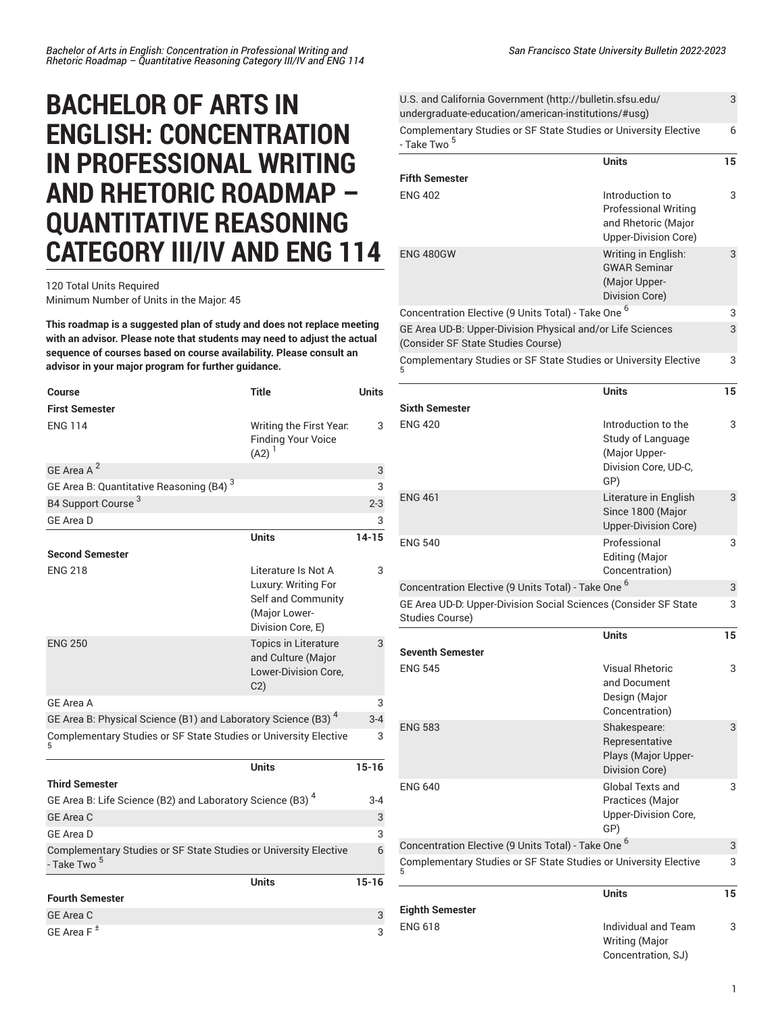## **BACHELOR OF ARTS IN ENGLISH: CONCENTRATION IN PROFESSIONAL WRITING AND RHETORIC ROADMAP – QUANTITATIVE REASONING CATEGORY III/IV AND ENG 114**

120 Total Units Required

Minimum Number of Units in the Major: 45

**This roadmap is a suggested plan of study and does not replace meeting with an advisor. Please note that students may need to adjust the actual sequence of courses based on course availability. Please consult an advisor in your major program for further guidance.**

| Course                                                                                      | <b>Title</b>                                                                                           | Units     |
|---------------------------------------------------------------------------------------------|--------------------------------------------------------------------------------------------------------|-----------|
| <b>First Semester</b>                                                                       |                                                                                                        |           |
| <b>ENG 114</b>                                                                              | Writing the First Year.<br><b>Finding Your Voice</b><br>$(A2)^{1}$                                     | 3         |
| GE Area A <sup>2</sup>                                                                      |                                                                                                        | 3         |
| GE Area B: Quantitative Reasoning (B4) <sup>3</sup>                                         |                                                                                                        | 3         |
| B4 Support Course <sup>3</sup>                                                              |                                                                                                        | $2 - 3$   |
| <b>GE Area D</b>                                                                            |                                                                                                        | 3         |
|                                                                                             | <b>Units</b>                                                                                           | $14 - 15$ |
| <b>Second Semester</b>                                                                      |                                                                                                        |           |
| <b>ENG 218</b>                                                                              | Literature Is Not A<br>Luxury: Writing For<br>Self and Community<br>(Major Lower-<br>Division Core, E) | 3         |
| <b>ENG 250</b>                                                                              | <b>Topics in Literature</b><br>and Culture (Major<br>Lower-Division Core,<br>C <sub>2</sub>            | 3         |
| GF Area A                                                                                   |                                                                                                        | 3         |
| GE Area B: Physical Science (B1) and Laboratory Science (B3) <sup>4</sup>                   |                                                                                                        | $3 - 4$   |
| Complementary Studies or SF State Studies or University Elective<br>5                       |                                                                                                        | 3         |
|                                                                                             | <b>Units</b>                                                                                           | $15 - 16$ |
| <b>Third Semester</b>                                                                       |                                                                                                        |           |
| GE Area B: Life Science (B2) and Laboratory Science (B3) <sup>4</sup>                       |                                                                                                        | $3 - 4$   |
| <b>GE Area C</b>                                                                            |                                                                                                        | 3         |
| GE Area D                                                                                   |                                                                                                        | 3         |
| Complementary Studies or SF State Studies or University Elective<br>- Take Two <sup>5</sup> |                                                                                                        | 6         |
|                                                                                             | <b>Units</b>                                                                                           | $15 - 16$ |
| <b>Fourth Semester</b>                                                                      |                                                                                                        |           |
| <b>GE Area C</b>                                                                            |                                                                                                        | 3         |
| GE Area $F^{\pm}$                                                                           |                                                                                                        | 3         |

| U.S. and California Government (http://bulletin.sfsu.edu/<br>undergraduate-education/american-institutions/#usg) |                                                                                               | 3  |
|------------------------------------------------------------------------------------------------------------------|-----------------------------------------------------------------------------------------------|----|
| Complementary Studies or SF State Studies or University Elective<br>- Take Two <sup>5</sup>                      |                                                                                               | 6  |
|                                                                                                                  | <b>Units</b>                                                                                  | 15 |
| <b>Fifth Semester</b><br><b>ENG 402</b>                                                                          | Introduction to<br><b>Professional Writing</b><br>and Rhetoric (Major<br>Upper-Division Core) | 3  |
| <b>ENG 480GW</b>                                                                                                 | Writing in English:<br><b>GWAR Seminar</b><br>(Major Upper-<br>Division Core)                 | 3  |
| Concentration Elective (9 Units Total) - Take One <sup>6</sup>                                                   |                                                                                               | 3  |
| GE Area UD-B: Upper-Division Physical and/or Life Sciences<br>(Consider SF State Studies Course)                 |                                                                                               | 3  |
| Complementary Studies or SF State Studies or University Elective                                                 |                                                                                               | 3  |
| Sixth Semester                                                                                                   | <b>Units</b>                                                                                  | 15 |
| <b>ENG 420</b>                                                                                                   | Introduction to the<br>Study of Language<br>(Major Upper-<br>Division Core, UD-C,<br>GP)      | 3  |
| <b>ENG 461</b>                                                                                                   | Literature in English<br>Since 1800 (Major<br>Upper-Division Core)                            | 3  |
| <b>ENG 540</b>                                                                                                   | Professional<br><b>Editing (Major</b><br>Concentration)                                       | 3  |
| Concentration Elective (9 Units Total) - Take One <sup>6</sup>                                                   |                                                                                               | 3  |
| GE Area UD-D: Upper-Division Social Sciences (Consider SF State<br><b>Studies Course)</b>                        |                                                                                               | 3  |
| Seventh Semester                                                                                                 | <b>Units</b>                                                                                  | 15 |
| <b>ENG 545</b>                                                                                                   | Visual Rhetoric<br>and Document<br>Design (Major<br>Concentration)                            | 3  |
| <b>ENG 583</b>                                                                                                   | Shakespeare:<br>Representative<br>Plays (Major Upper-<br>Division Core)                       | 3  |
| <b>ENG 640</b>                                                                                                   | Global Texts and<br>Practices (Major<br>Upper-Division Core,<br>GP)                           | 3  |
| Concentration Elective (9 Units Total) - Take One <sup>6</sup>                                                   |                                                                                               | 3  |
| Complementary Studies or SF State Studies or University Elective                                                 |                                                                                               | 3  |
| Eighth Semester                                                                                                  | <b>Units</b>                                                                                  | 15 |
| ENG 618                                                                                                          | Individual and Team<br>Writing (Major<br>Concentration, SJ)                                   | 3  |